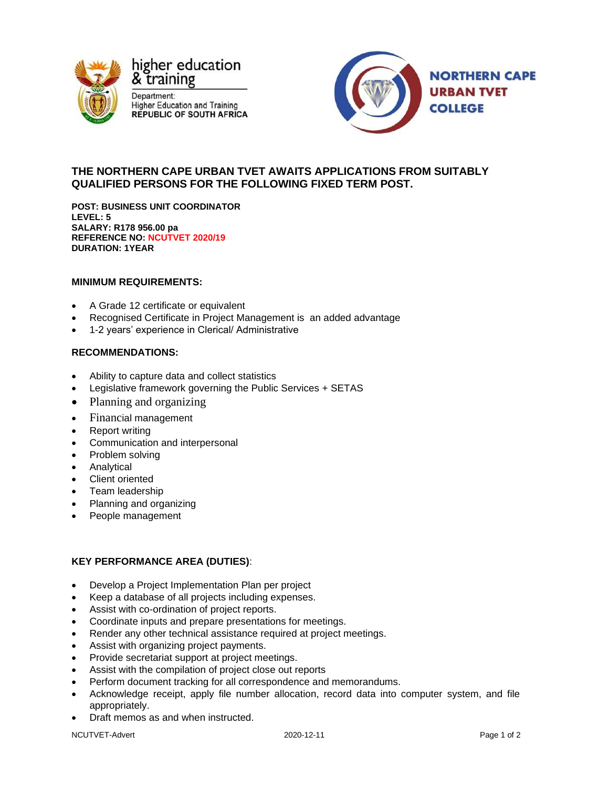

& training Department: **Higher Education and Training REPUBLIC OF SOUTH AFRICA** 



# **THE NORTHERN CAPE URBAN TVET AWAITS APPLICATIONS FROM SUITABLY QUALIFIED PERSONS FOR THE FOLLOWING FIXED TERM POST.**

**POST: BUSINESS UNIT COORDINATOR LEVEL: 5 SALARY: R178 956.00 pa REFERENCE NO: NCUTVET 2020/19 DURATION: 1YEAR**

## **MINIMUM REQUIREMENTS:**

- A Grade 12 certificate or equivalent
- Recognised Certificate in Project Management is an added advantage
- 1-2 years' experience in Clerical/ Administrative

## **RECOMMENDATIONS:**

- Ability to capture data and collect statistics
- Legislative framework governing the Public Services + SETAS
- Planning and organizing
- Financial management
- Report writing
- Communication and interpersonal
- Problem solving
- **Analytical**
- Client oriented
- Team leadership
- Planning and organizing
- People management

### **KEY PERFORMANCE AREA (DUTIES)**:

- Develop a Project Implementation Plan per project
- Keep a database of all projects including expenses.
- Assist with co-ordination of project reports.
- Coordinate inputs and prepare presentations for meetings.
- Render any other technical assistance required at project meetings.
- Assist with organizing project payments.
- Provide secretariat support at project meetings.
- Assist with the compilation of project close out reports
- Perform document tracking for all correspondence and memorandums.
- Acknowledge receipt, apply file number allocation, record data into computer system, and file appropriately.
- Draft memos as and when instructed.